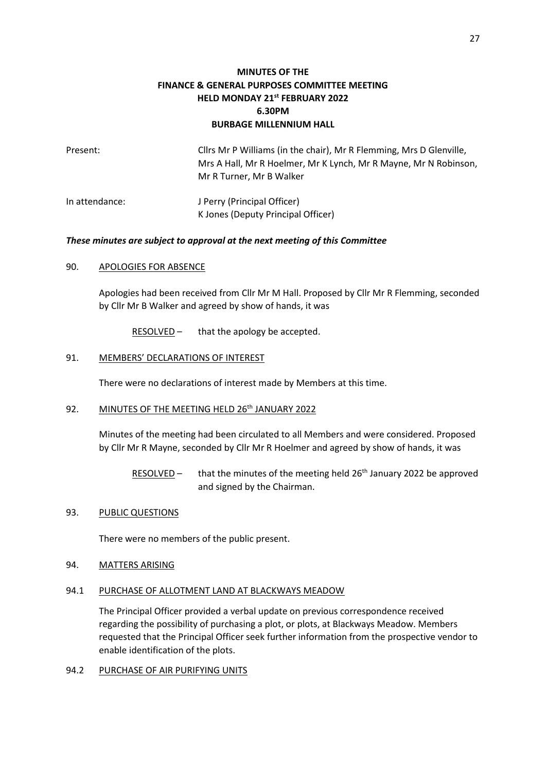# **MINUTES OF THE FINANCE & GENERAL PURPOSES COMMITTEE MEETING HELD MONDAY 21st FEBRUARY 2022 6.30PM BURBAGE MILLENNIUM HALL**

| Present:       | Cllrs Mr P Williams (in the chair), Mr R Flemming, Mrs D Glenville,<br>Mrs A Hall, Mr R Hoelmer, Mr K Lynch, Mr R Mayne, Mr N Robinson,<br>Mr R Turner, Mr B Walker |
|----------------|---------------------------------------------------------------------------------------------------------------------------------------------------------------------|
| In attendance: | J Perry (Principal Officer)<br>K Jones (Deputy Principal Officer)                                                                                                   |

### *These minutes are subject to approval at the next meeting of this Committee*

### 90. APOLOGIES FOR ABSENCE

Apologies had been received from Cllr Mr M Hall. Proposed by Cllr Mr R Flemming, seconded by Cllr Mr B Walker and agreed by show of hands, it was

RESOLVED – that the apology be accepted.

# 91. MEMBERS' DECLARATIONS OF INTEREST

There were no declarations of interest made by Members at this time.

### 92. MINUTES OF THE MEETING HELD 26<sup>th</sup> JANUARY 2022

Minutes of the meeting had been circulated to all Members and were considered. Proposed by Cllr Mr R Mayne, seconded by Cllr Mr R Hoelmer and agreed by show of hands, it was

RESOLVED – that the minutes of the meeting held  $26<sup>th</sup>$  January 2022 be approved and signed by the Chairman.

#### 93. PUBLIC QUESTIONS

There were no members of the public present.

### 94. MATTERS ARISING

#### 94.1 PURCHASE OF ALLOTMENT LAND AT BLACKWAYS MEADOW

The Principal Officer provided a verbal update on previous correspondence received regarding the possibility of purchasing a plot, or plots, at Blackways Meadow. Members requested that the Principal Officer seek further information from the prospective vendor to enable identification of the plots.

### 94.2 PURCHASE OF AIR PURIFYING UNITS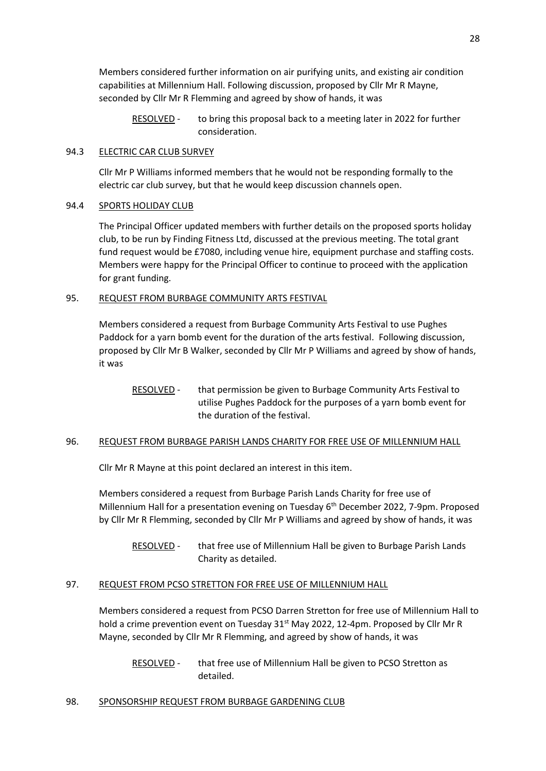Members considered further information on air purifying units, and existing air condition capabilities at Millennium Hall. Following discussion, proposed by Cllr Mr R Mayne, seconded by Cllr Mr R Flemming and agreed by show of hands, it was

RESOLVED - to bring this proposal back to a meeting later in 2022 for further consideration.

# 94.3 ELECTRIC CAR CLUB SURVEY

Cllr Mr P Williams informed members that he would not be responding formally to the electric car club survey, but that he would keep discussion channels open.

# 94.4 SPORTS HOLIDAY CLUB

The Principal Officer updated members with further details on the proposed sports holiday club, to be run by Finding Fitness Ltd, discussed at the previous meeting. The total grant fund request would be £7080, including venue hire, equipment purchase and staffing costs. Members were happy for the Principal Officer to continue to proceed with the application for grant funding.

### 95. REQUEST FROM BURBAGE COMMUNITY ARTS FESTIVAL

Members considered a request from Burbage Community Arts Festival to use Pughes Paddock for a yarn bomb event for the duration of the arts festival. Following discussion, proposed by Cllr Mr B Walker, seconded by Cllr Mr P Williams and agreed by show of hands, it was

RESOLVED - that permission be given to Burbage Community Arts Festival to utilise Pughes Paddock for the purposes of a yarn bomb event for the duration of the festival.

# 96. REQUEST FROM BURBAGE PARISH LANDS CHARITY FOR FREE USE OF MILLENNIUM HALL

Cllr Mr R Mayne at this point declared an interest in this item.

Members considered a request from Burbage Parish Lands Charity for free use of Millennium Hall for a presentation evening on Tuesday 6<sup>th</sup> December 2022, 7-9pm. Proposed by Cllr Mr R Flemming, seconded by Cllr Mr P Williams and agreed by show of hands, it was

RESOLVED - that free use of Millennium Hall be given to Burbage Parish Lands Charity as detailed.

# 97. REQUEST FROM PCSO STRETTON FOR FREE USE OF MILLENNIUM HALL

Members considered a request from PCSO Darren Stretton for free use of Millennium Hall to hold a crime prevention event on Tuesday  $31^{st}$  May 2022, 12-4pm. Proposed by Cllr Mr R Mayne, seconded by Cllr Mr R Flemming, and agreed by show of hands, it was

RESOLVED - that free use of Millennium Hall be given to PCSO Stretton as detailed.

# 98. SPONSORSHIP REQUEST FROM BURBAGE GARDENING CLUB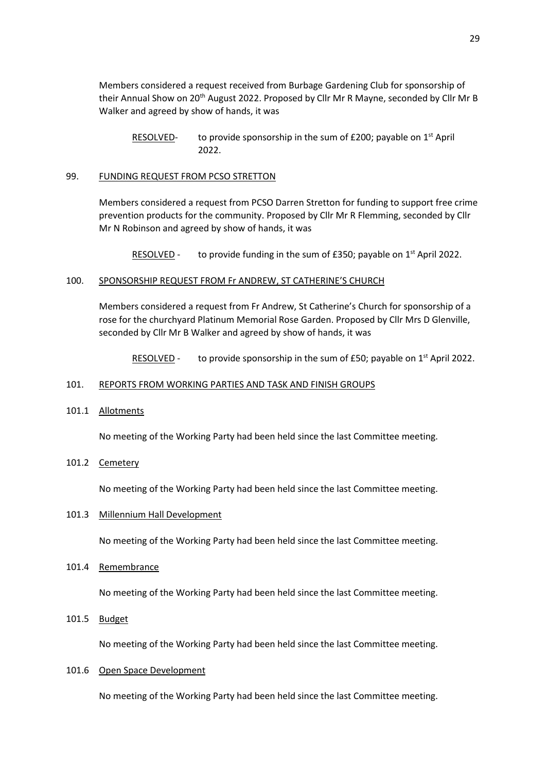Members considered a request received from Burbage Gardening Club for sponsorship of their Annual Show on 20th August 2022. Proposed by Cllr Mr R Mayne, seconded by Cllr Mr B Walker and agreed by show of hands, it was

RESOLVED- to provide sponsorship in the sum of £200; payable on 1<sup>st</sup> April 2022.

#### 99. FUNDING REQUEST FROM PCSO STRETTON

Members considered a request from PCSO Darren Stretton for funding to support free crime prevention products for the community. Proposed by Cllr Mr R Flemming, seconded by Cllr Mr N Robinson and agreed by show of hands, it was

RESOLVED - to provide funding in the sum of £350; payable on  $1<sup>st</sup>$  April 2022.

#### 100. SPONSORSHIP REQUEST FROM Fr ANDREW, ST CATHERINE'S CHURCH

Members considered a request from Fr Andrew, St Catherine's Church for sponsorship of a rose for the churchyard Platinum Memorial Rose Garden. Proposed by Cllr Mrs D Glenville, seconded by Cllr Mr B Walker and agreed by show of hands, it was

RESOLVED - to provide sponsorship in the sum of £50; payable on  $1<sup>st</sup>$  April 2022.

#### 101. REPORTS FROM WORKING PARTIES AND TASK AND FINISH GROUPS

101.1 Allotments

No meeting of the Working Party had been held since the last Committee meeting.

101.2 Cemetery

No meeting of the Working Party had been held since the last Committee meeting.

### 101.3 Millennium Hall Development

No meeting of the Working Party had been held since the last Committee meeting.

101.4 Remembrance

No meeting of the Working Party had been held since the last Committee meeting.

101.5 Budget

No meeting of the Working Party had been held since the last Committee meeting.

#### 101.6 Open Space Development

No meeting of the Working Party had been held since the last Committee meeting.